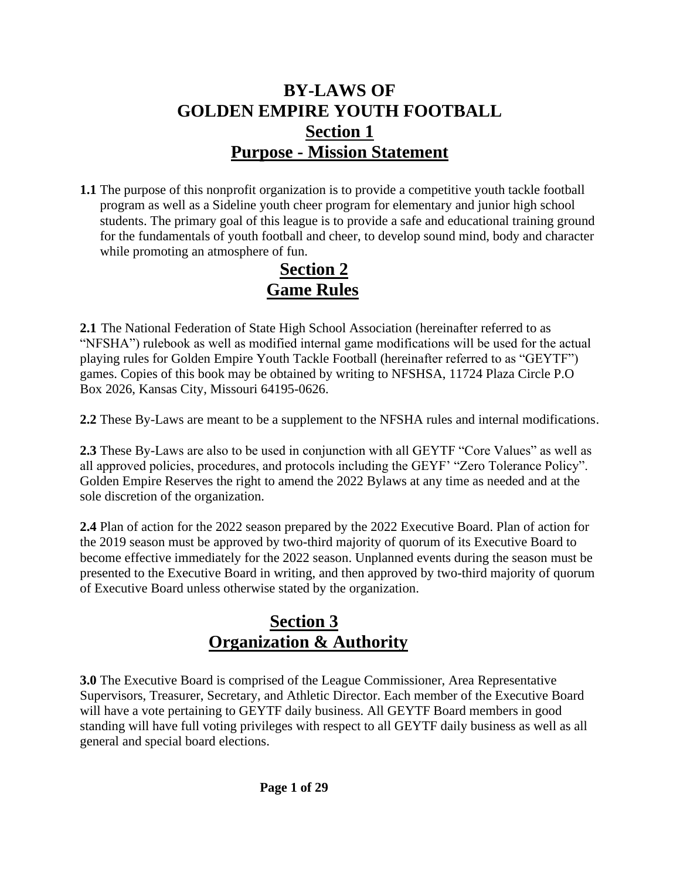## **BY-LAWS OF GOLDEN EMPIRE YOUTH FOOTBALL Section 1 Purpose - Mission Statement**

**1.1** The purpose of this nonprofit organization is to provide a competitive youth tackle football program as well as a Sideline youth cheer program for elementary and junior high school students. The primary goal of this league is to provide a safe and educational training ground for the fundamentals of youth football and cheer, to develop sound mind, body and character while promoting an atmosphere of fun.

### **Section 2 Game Rules**

**2.1** The National Federation of State High School Association (hereinafter referred to as "NFSHA") rulebook as well as modified internal game modifications will be used for the actual playing rules for Golden Empire Youth Tackle Football (hereinafter referred to as "GEYTF") games. Copies of this book may be obtained by writing to NFSHSA, 11724 Plaza Circle P.O Box 2026, Kansas City, Missouri 64195-0626.

**2.2** These By-Laws are meant to be a supplement to the NFSHA rules and internal modifications.

**2.3** These By-Laws are also to be used in conjunction with all GEYTF "Core Values" as well as all approved policies, procedures, and protocols including the GEYF' "Zero Tolerance Policy". Golden Empire Reserves the right to amend the 2022 Bylaws at any time as needed and at the sole discretion of the organization.

**2.4** Plan of action for the 2022 season prepared by the 2022 Executive Board. Plan of action for the 2019 season must be approved by two-third majority of quorum of its Executive Board to become effective immediately for the 2022 season. Unplanned events during the season must be presented to the Executive Board in writing, and then approved by two-third majority of quorum of Executive Board unless otherwise stated by the organization.

### **Section 3 Organization & Authority**

**3.0** The Executive Board is comprised of the League Commissioner, Area Representative Supervisors, Treasurer, Secretary, and Athletic Director. Each member of the Executive Board will have a vote pertaining to GEYTF daily business. All GEYTF Board members in good standing will have full voting privileges with respect to all GEYTF daily business as well as all general and special board elections.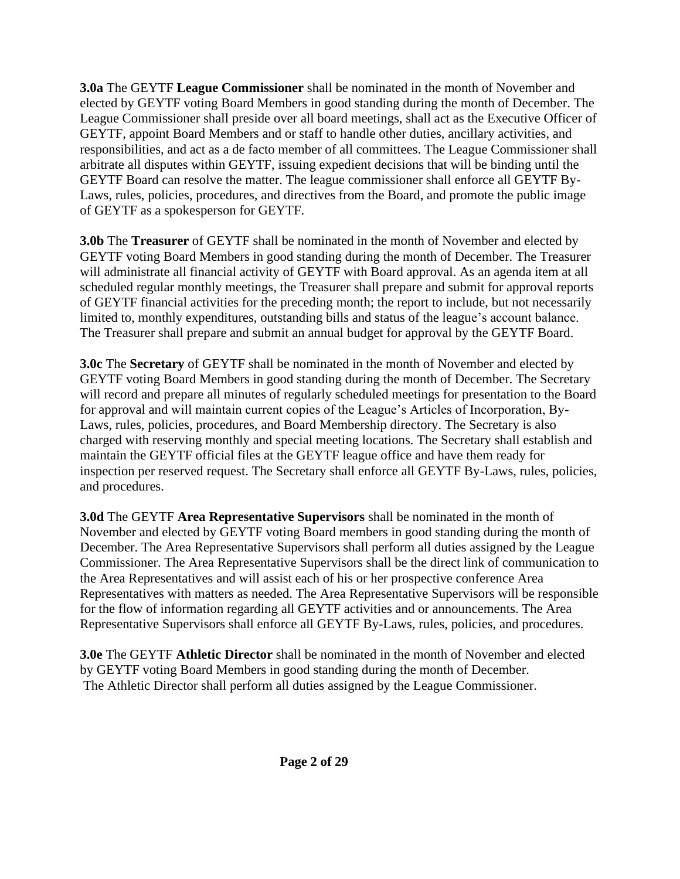**3.0a** The GEYTF **League Commissioner** shall be nominated in the month of November and elected by GEYTF voting Board Members in good standing during the month of December. The League Commissioner shall preside over all board meetings, shall act as the Executive Officer of GEYTF, appoint Board Members and or staff to handle other duties, ancillary activities, and responsibilities, and act as a de facto member of all committees. The League Commissioner shall arbitrate all disputes within GEYTF, issuing expedient decisions that will be binding until the GEYTF Board can resolve the matter. The league commissioner shall enforce all GEYTF By-Laws, rules, policies, procedures, and directives from the Board, and promote the public image of GEYTF as a spokesperson for GEYTF.

**3.0b** The **Treasurer** of GEYTF shall be nominated in the month of November and elected by GEYTF voting Board Members in good standing during the month of December. The Treasurer will administrate all financial activity of GEYTF with Board approval. As an agenda item at all scheduled regular monthly meetings, the Treasurer shall prepare and submit for approval reports of GEYTF financial activities for the preceding month; the report to include, but not necessarily limited to, monthly expenditures, outstanding bills and status of the league's account balance. The Treasurer shall prepare and submit an annual budget for approval by the GEYTF Board.

**3.0c** The **Secretary** of GEYTF shall be nominated in the month of November and elected by GEYTF voting Board Members in good standing during the month of December. The Secretary will record and prepare all minutes of regularly scheduled meetings for presentation to the Board for approval and will maintain current copies of the League's Articles of Incorporation, By-Laws, rules, policies, procedures, and Board Membership directory. The Secretary is also charged with reserving monthly and special meeting locations. The Secretary shall establish and maintain the GEYTF official files at the GEYTF league office and have them ready for inspection per reserved request. The Secretary shall enforce all GEYTF By-Laws, rules, policies, and procedures.

**3.0d** The GEYTF **Area Representative Supervisors** shall be nominated in the month of November and elected by GEYTF voting Board members in good standing during the month of December. The Area Representative Supervisors shall perform all duties assigned by the League Commissioner. The Area Representative Supervisors shall be the direct link of communication to the Area Representatives and will assist each of his or her prospective conference Area Representatives with matters as needed. The Area Representative Supervisors will be responsible for the flow of information regarding all GEYTF activities and or announcements. The Area Representative Supervisors shall enforce all GEYTF By-Laws, rules, policies, and procedures.

**3.0e** The GEYTF **Athletic Director** shall be nominated in the month of November and elected by GEYTF voting Board Members in good standing during the month of December. The Athletic Director shall perform all duties assigned by the League Commissioner.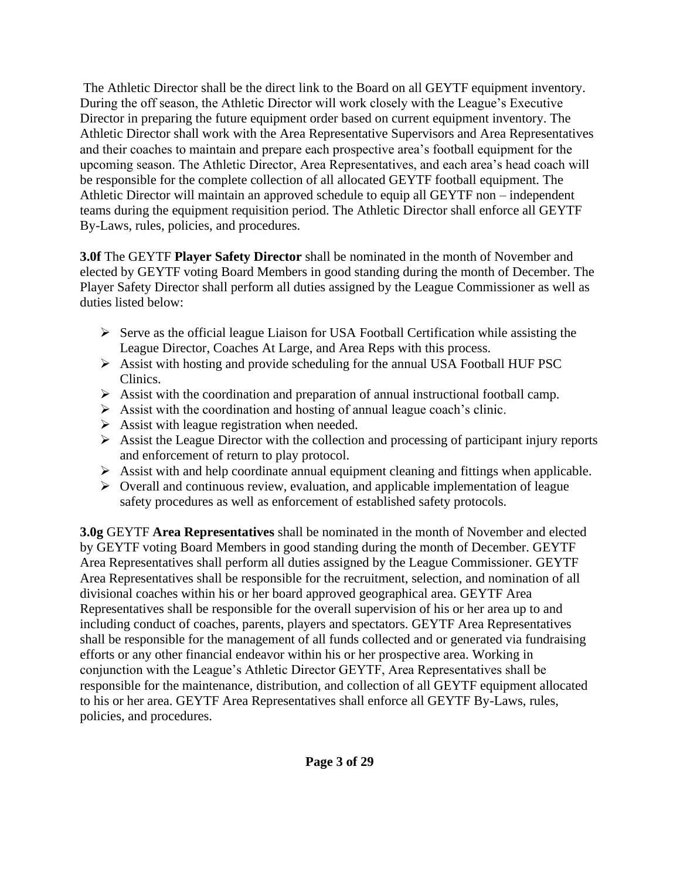The Athletic Director shall be the direct link to the Board on all GEYTF equipment inventory. During the off season, the Athletic Director will work closely with the League's Executive Director in preparing the future equipment order based on current equipment inventory. The Athletic Director shall work with the Area Representative Supervisors and Area Representatives and their coaches to maintain and prepare each prospective area's football equipment for the upcoming season. The Athletic Director, Area Representatives, and each area's head coach will be responsible for the complete collection of all allocated GEYTF football equipment. The Athletic Director will maintain an approved schedule to equip all GEYTF non – independent teams during the equipment requisition period. The Athletic Director shall enforce all GEYTF By-Laws, rules, policies, and procedures.

**3.0f** The GEYTF **Player Safety Director** shall be nominated in the month of November and elected by GEYTF voting Board Members in good standing during the month of December. The Player Safety Director shall perform all duties assigned by the League Commissioner as well as duties listed below:

- ➢ Serve as the official league Liaison for USA Football Certification while assisting the League Director, Coaches At Large, and Area Reps with this process.
- ➢ Assist with hosting and provide scheduling for the annual USA Football HUF PSC Clinics.
- $\triangleright$  Assist with the coordination and preparation of annual instructional football camp.
- $\triangleright$  Assist with the coordination and hosting of annual league coach's clinic.
- $\triangleright$  Assist with league registration when needed.
- $\triangleright$  Assist the League Director with the collection and processing of participant injury reports and enforcement of return to play protocol.
- $\triangleright$  Assist with and help coordinate annual equipment cleaning and fittings when applicable.
- ➢ Overall and continuous review, evaluation, and applicable implementation of league safety procedures as well as enforcement of established safety protocols.

**3.0g** GEYTF **Area Representatives** shall be nominated in the month of November and elected by GEYTF voting Board Members in good standing during the month of December. GEYTF Area Representatives shall perform all duties assigned by the League Commissioner. GEYTF Area Representatives shall be responsible for the recruitment, selection, and nomination of all divisional coaches within his or her board approved geographical area. GEYTF Area Representatives shall be responsible for the overall supervision of his or her area up to and including conduct of coaches, parents, players and spectators. GEYTF Area Representatives shall be responsible for the management of all funds collected and or generated via fundraising efforts or any other financial endeavor within his or her prospective area. Working in conjunction with the League's Athletic Director GEYTF, Area Representatives shall be responsible for the maintenance, distribution, and collection of all GEYTF equipment allocated to his or her area. GEYTF Area Representatives shall enforce all GEYTF By-Laws, rules, policies, and procedures.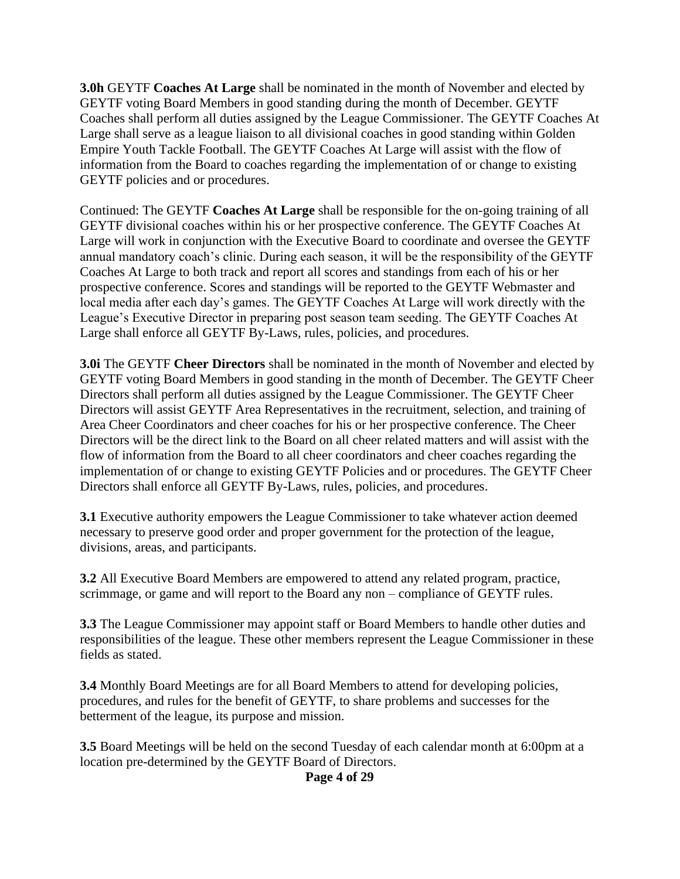**3.0h** GEYTF **Coaches At Large** shall be nominated in the month of November and elected by GEYTF voting Board Members in good standing during the month of December. GEYTF Coaches shall perform all duties assigned by the League Commissioner. The GEYTF Coaches At Large shall serve as a league liaison to all divisional coaches in good standing within Golden Empire Youth Tackle Football. The GEYTF Coaches At Large will assist with the flow of information from the Board to coaches regarding the implementation of or change to existing GEYTF policies and or procedures.

Continued: The GEYTF **Coaches At Large** shall be responsible for the on-going training of all GEYTF divisional coaches within his or her prospective conference. The GEYTF Coaches At Large will work in conjunction with the Executive Board to coordinate and oversee the GEYTF annual mandatory coach's clinic. During each season, it will be the responsibility of the GEYTF Coaches At Large to both track and report all scores and standings from each of his or her prospective conference. Scores and standings will be reported to the GEYTF Webmaster and local media after each day's games. The GEYTF Coaches At Large will work directly with the League's Executive Director in preparing post season team seeding. The GEYTF Coaches At Large shall enforce all GEYTF By-Laws, rules, policies, and procedures.

**3.0i** The GEYTF Cheer Directors shall be nominated in the month of November and elected by GEYTF voting Board Members in good standing in the month of December. The GEYTF Cheer Directors shall perform all duties assigned by the League Commissioner. The GEYTF Cheer Directors will assist GEYTF Area Representatives in the recruitment, selection, and training of Area Cheer Coordinators and cheer coaches for his or her prospective conference. The Cheer Directors will be the direct link to the Board on all cheer related matters and will assist with the flow of information from the Board to all cheer coordinators and cheer coaches regarding the implementation of or change to existing GEYTF Policies and or procedures. The GEYTF Cheer Directors shall enforce all GEYTF By-Laws, rules, policies, and procedures.

**3.1** Executive authority empowers the League Commissioner to take whatever action deemed necessary to preserve good order and proper government for the protection of the league, divisions, areas, and participants.

**3.2** All Executive Board Members are empowered to attend any related program, practice, scrimmage, or game and will report to the Board any non – compliance of GEYTF rules.

**3.3** The League Commissioner may appoint staff or Board Members to handle other duties and responsibilities of the league. These other members represent the League Commissioner in these fields as stated.

**3.4** Monthly Board Meetings are for all Board Members to attend for developing policies, procedures, and rules for the benefit of GEYTF, to share problems and successes for the betterment of the league, its purpose and mission.

**3.5** Board Meetings will be held on the second Tuesday of each calendar month at 6:00pm at a location pre-determined by the GEYTF Board of Directors.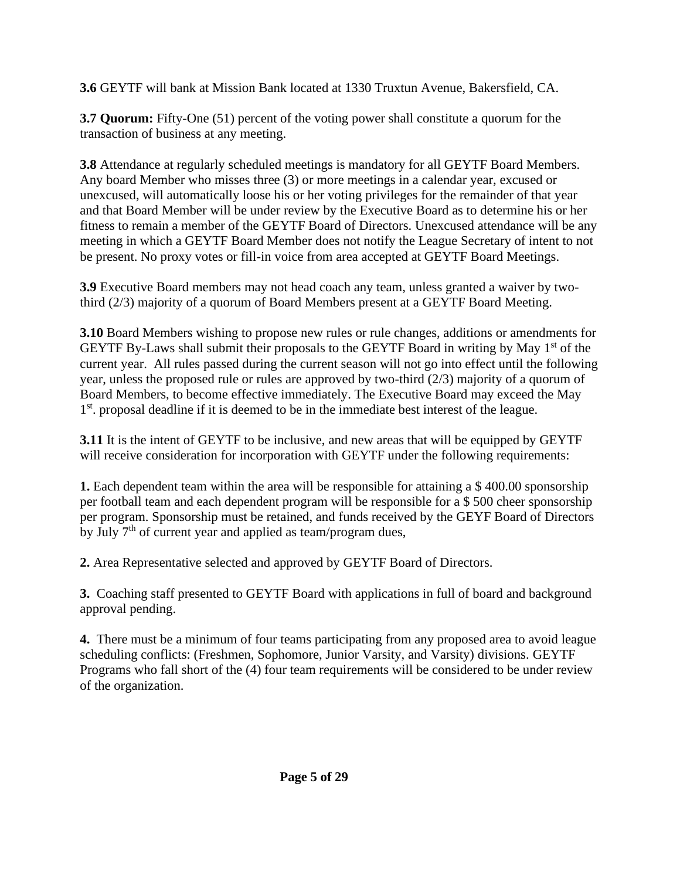**3.6** GEYTF will bank at Mission Bank located at 1330 Truxtun Avenue, Bakersfield, CA.

**3.7 Quorum:** Fifty-One (51) percent of the voting power shall constitute a quorum for the transaction of business at any meeting.

**3.8** Attendance at regularly scheduled meetings is mandatory for all GEYTF Board Members. Any board Member who misses three (3) or more meetings in a calendar year, excused or unexcused, will automatically loose his or her voting privileges for the remainder of that year and that Board Member will be under review by the Executive Board as to determine his or her fitness to remain a member of the GEYTF Board of Directors. Unexcused attendance will be any meeting in which a GEYTF Board Member does not notify the League Secretary of intent to not be present. No proxy votes or fill-in voice from area accepted at GEYTF Board Meetings.

**3.9** Executive Board members may not head coach any team, unless granted a waiver by twothird (2/3) majority of a quorum of Board Members present at a GEYTF Board Meeting.

**3.10** Board Members wishing to propose new rules or rule changes, additions or amendments for GEYTF By-Laws shall submit their proposals to the GEYTF Board in writing by May 1<sup>st</sup> of the current year. All rules passed during the current season will not go into effect until the following year, unless the proposed rule or rules are approved by two-third (2/3) majority of a quorum of Board Members, to become effective immediately. The Executive Board may exceed the May 1<sup>st</sup>. proposal deadline if it is deemed to be in the immediate best interest of the league.

**3.11** It is the intent of GEYTF to be inclusive, and new areas that will be equipped by GEYTF will receive consideration for incorporation with GEYTF under the following requirements:

**1.** Each dependent team within the area will be responsible for attaining a \$400.00 sponsorship per football team and each dependent program will be responsible for a \$ 500 cheer sponsorship per program. Sponsorship must be retained, and funds received by the GEYF Board of Directors by July  $7<sup>th</sup>$  of current year and applied as team/program dues,

**2.** Area Representative selected and approved by GEYTF Board of Directors.

**3.** Coaching staff presented to GEYTF Board with applications in full of board and background approval pending.

**4.** There must be a minimum of four teams participating from any proposed area to avoid league scheduling conflicts: (Freshmen, Sophomore, Junior Varsity, and Varsity) divisions. GEYTF Programs who fall short of the (4) four team requirements will be considered to be under review of the organization.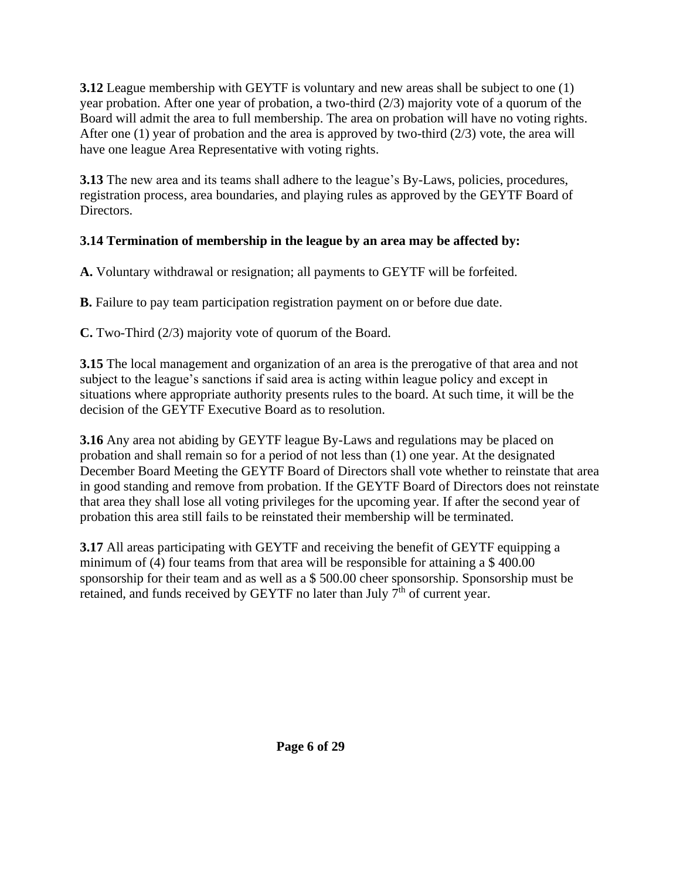**3.12** League membership with GEYTF is voluntary and new areas shall be subject to one (1) year probation. After one year of probation, a two-third (2/3) majority vote of a quorum of the Board will admit the area to full membership. The area on probation will have no voting rights. After one (1) year of probation and the area is approved by two-third  $(2/3)$  vote, the area will have one league Area Representative with voting rights.

**3.13** The new area and its teams shall adhere to the league's By-Laws, policies, procedures, registration process, area boundaries, and playing rules as approved by the GEYTF Board of Directors.

### **3.14 Termination of membership in the league by an area may be affected by:**

**A.** Voluntary withdrawal or resignation; all payments to GEYTF will be forfeited.

**B.** Failure to pay team participation registration payment on or before due date.

**C.** Two-Third (2/3) majority vote of quorum of the Board.

**3.15** The local management and organization of an area is the prerogative of that area and not subject to the league's sanctions if said area is acting within league policy and except in situations where appropriate authority presents rules to the board. At such time, it will be the decision of the GEYTF Executive Board as to resolution.

**3.16** Any area not abiding by GEYTF league By-Laws and regulations may be placed on probation and shall remain so for a period of not less than (1) one year. At the designated December Board Meeting the GEYTF Board of Directors shall vote whether to reinstate that area in good standing and remove from probation. If the GEYTF Board of Directors does not reinstate that area they shall lose all voting privileges for the upcoming year. If after the second year of probation this area still fails to be reinstated their membership will be terminated.

**3.17** All areas participating with GEYTF and receiving the benefit of GEYTF equipping a minimum of (4) four teams from that area will be responsible for attaining a \$ 400.00 sponsorship for their team and as well as a \$ 500.00 cheer sponsorship. Sponsorship must be retained, and funds received by GEYTF no later than July  $7<sup>th</sup>$  of current year.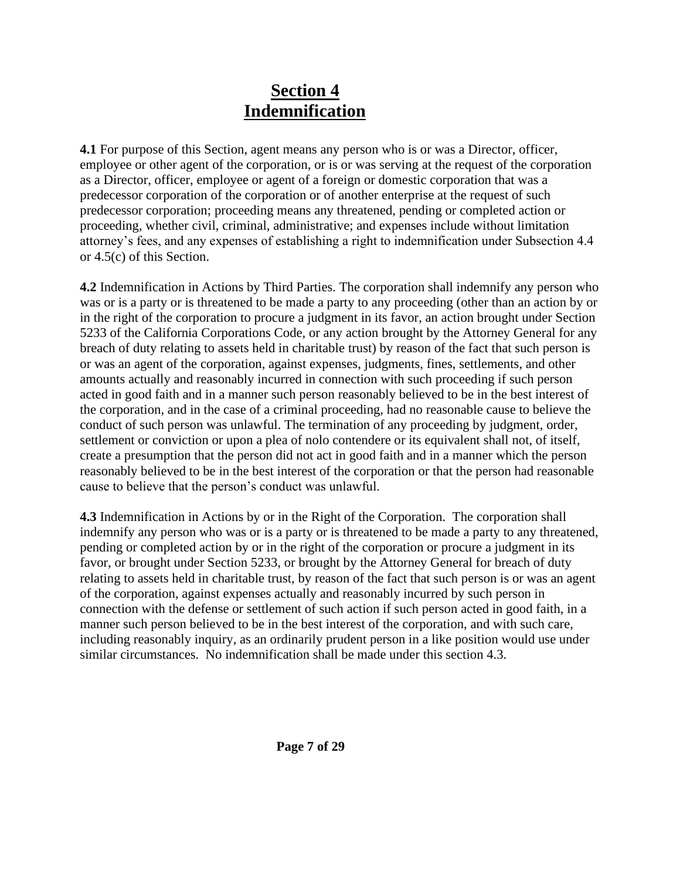### **Section 4 Indemnification**

**4.1** For purpose of this Section, agent means any person who is or was a Director, officer, employee or other agent of the corporation, or is or was serving at the request of the corporation as a Director, officer, employee or agent of a foreign or domestic corporation that was a predecessor corporation of the corporation or of another enterprise at the request of such predecessor corporation; proceeding means any threatened, pending or completed action or proceeding, whether civil, criminal, administrative; and expenses include without limitation attorney's fees, and any expenses of establishing a right to indemnification under Subsection 4.4 or 4.5(c) of this Section.

**4.2** Indemnification in Actions by Third Parties. The corporation shall indemnify any person who was or is a party or is threatened to be made a party to any proceeding (other than an action by or in the right of the corporation to procure a judgment in its favor, an action brought under Section 5233 of the California Corporations Code, or any action brought by the Attorney General for any breach of duty relating to assets held in charitable trust) by reason of the fact that such person is or was an agent of the corporation, against expenses, judgments, fines, settlements, and other amounts actually and reasonably incurred in connection with such proceeding if such person acted in good faith and in a manner such person reasonably believed to be in the best interest of the corporation, and in the case of a criminal proceeding, had no reasonable cause to believe the conduct of such person was unlawful. The termination of any proceeding by judgment, order, settlement or conviction or upon a plea of nolo contendere or its equivalent shall not, of itself, create a presumption that the person did not act in good faith and in a manner which the person reasonably believed to be in the best interest of the corporation or that the person had reasonable cause to believe that the person's conduct was unlawful.

**4.3** Indemnification in Actions by or in the Right of the Corporation. The corporation shall indemnify any person who was or is a party or is threatened to be made a party to any threatened, pending or completed action by or in the right of the corporation or procure a judgment in its favor, or brought under Section 5233, or brought by the Attorney General for breach of duty relating to assets held in charitable trust, by reason of the fact that such person is or was an agent of the corporation, against expenses actually and reasonably incurred by such person in connection with the defense or settlement of such action if such person acted in good faith, in a manner such person believed to be in the best interest of the corporation, and with such care, including reasonably inquiry, as an ordinarily prudent person in a like position would use under similar circumstances. No indemnification shall be made under this section 4.3.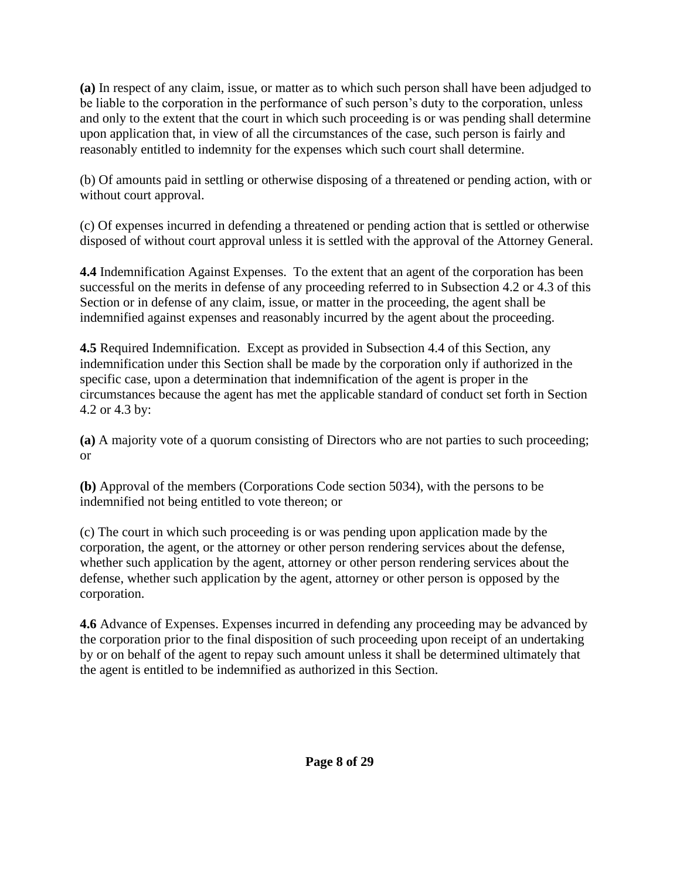**(a)** In respect of any claim, issue, or matter as to which such person shall have been adjudged to be liable to the corporation in the performance of such person's duty to the corporation, unless and only to the extent that the court in which such proceeding is or was pending shall determine upon application that, in view of all the circumstances of the case, such person is fairly and reasonably entitled to indemnity for the expenses which such court shall determine.

(b) Of amounts paid in settling or otherwise disposing of a threatened or pending action, with or without court approval.

(c) Of expenses incurred in defending a threatened or pending action that is settled or otherwise disposed of without court approval unless it is settled with the approval of the Attorney General.

**4.4** Indemnification Against Expenses. To the extent that an agent of the corporation has been successful on the merits in defense of any proceeding referred to in Subsection 4.2 or 4.3 of this Section or in defense of any claim, issue, or matter in the proceeding, the agent shall be indemnified against expenses and reasonably incurred by the agent about the proceeding.

**4.5** Required Indemnification. Except as provided in Subsection 4.4 of this Section, any indemnification under this Section shall be made by the corporation only if authorized in the specific case, upon a determination that indemnification of the agent is proper in the circumstances because the agent has met the applicable standard of conduct set forth in Section 4.2 or 4.3 by:

**(a)** A majority vote of a quorum consisting of Directors who are not parties to such proceeding; or

**(b)** Approval of the members (Corporations Code section 5034), with the persons to be indemnified not being entitled to vote thereon; or

(c) The court in which such proceeding is or was pending upon application made by the corporation, the agent, or the attorney or other person rendering services about the defense, whether such application by the agent, attorney or other person rendering services about the defense, whether such application by the agent, attorney or other person is opposed by the corporation.

**4.6** Advance of Expenses. Expenses incurred in defending any proceeding may be advanced by the corporation prior to the final disposition of such proceeding upon receipt of an undertaking by or on behalf of the agent to repay such amount unless it shall be determined ultimately that the agent is entitled to be indemnified as authorized in this Section.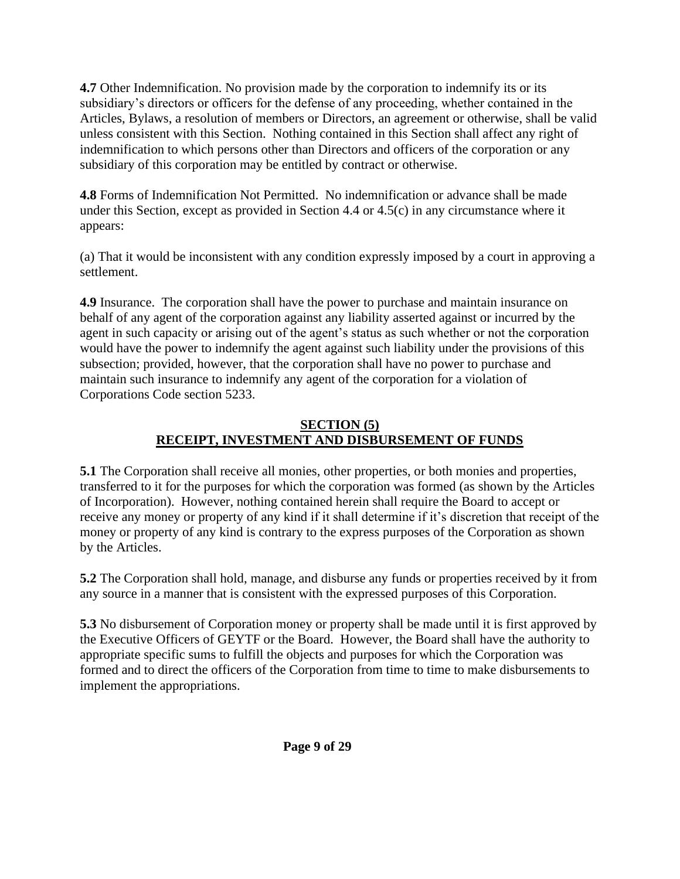**4.7** Other Indemnification. No provision made by the corporation to indemnify its or its subsidiary's directors or officers for the defense of any proceeding, whether contained in the Articles, Bylaws, a resolution of members or Directors, an agreement or otherwise, shall be valid unless consistent with this Section. Nothing contained in this Section shall affect any right of indemnification to which persons other than Directors and officers of the corporation or any subsidiary of this corporation may be entitled by contract or otherwise.

**4.8** Forms of Indemnification Not Permitted. No indemnification or advance shall be made under this Section, except as provided in Section 4.4 or 4.5(c) in any circumstance where it appears:

(a) That it would be inconsistent with any condition expressly imposed by a court in approving a settlement.

**4.9** Insurance. The corporation shall have the power to purchase and maintain insurance on behalf of any agent of the corporation against any liability asserted against or incurred by the agent in such capacity or arising out of the agent's status as such whether or not the corporation would have the power to indemnify the agent against such liability under the provisions of this subsection; provided, however, that the corporation shall have no power to purchase and maintain such insurance to indemnify any agent of the corporation for a violation of Corporations Code section 5233.

#### **SECTION (5) RECEIPT, INVESTMENT AND DISBURSEMENT OF FUNDS**

**5.1** The Corporation shall receive all monies, other properties, or both monies and properties, transferred to it for the purposes for which the corporation was formed (as shown by the Articles of Incorporation). However, nothing contained herein shall require the Board to accept or receive any money or property of any kind if it shall determine if it's discretion that receipt of the money or property of any kind is contrary to the express purposes of the Corporation as shown by the Articles.

**5.2** The Corporation shall hold, manage, and disburse any funds or properties received by it from any source in a manner that is consistent with the expressed purposes of this Corporation.

**5.3** No disbursement of Corporation money or property shall be made until it is first approved by the Executive Officers of GEYTF or the Board. However, the Board shall have the authority to appropriate specific sums to fulfill the objects and purposes for which the Corporation was formed and to direct the officers of the Corporation from time to time to make disbursements to implement the appropriations.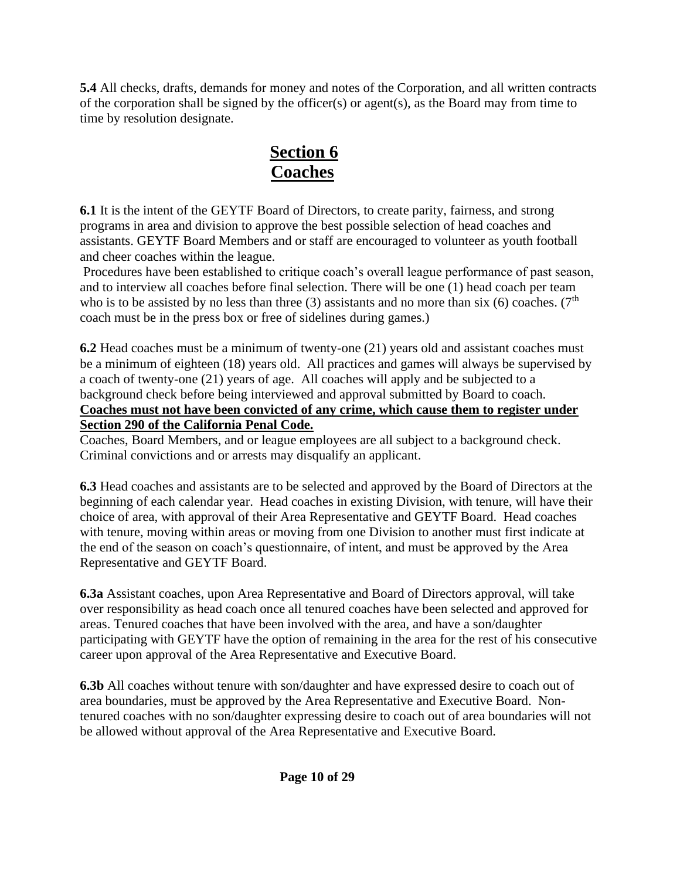**5.4** All checks, drafts, demands for money and notes of the Corporation, and all written contracts of the corporation shall be signed by the officer(s) or agent(s), as the Board may from time to time by resolution designate.

# **Section 6 Coaches**

**6.1** It is the intent of the GEYTF Board of Directors, to create parity, fairness, and strong programs in area and division to approve the best possible selection of head coaches and assistants. GEYTF Board Members and or staff are encouraged to volunteer as youth football and cheer coaches within the league.

Procedures have been established to critique coach's overall league performance of past season, and to interview all coaches before final selection. There will be one (1) head coach per team who is to be assisted by no less than three (3) assistants and no more than six (6) coaches. ( $7<sup>th</sup>$ coach must be in the press box or free of sidelines during games.)

**6.2** Head coaches must be a minimum of twenty-one (21) years old and assistant coaches must be a minimum of eighteen (18) years old. All practices and games will always be supervised by a coach of twenty-one (21) years of age. All coaches will apply and be subjected to a background check before being interviewed and approval submitted by Board to coach. **Coaches must not have been convicted of any crime, which cause them to register under Section 290 of the California Penal Code.** 

Coaches, Board Members, and or league employees are all subject to a background check. Criminal convictions and or arrests may disqualify an applicant.

**6.3** Head coaches and assistants are to be selected and approved by the Board of Directors at the beginning of each calendar year. Head coaches in existing Division, with tenure, will have their choice of area, with approval of their Area Representative and GEYTF Board. Head coaches with tenure, moving within areas or moving from one Division to another must first indicate at the end of the season on coach's questionnaire, of intent, and must be approved by the Area Representative and GEYTF Board.

**6.3a** Assistant coaches, upon Area Representative and Board of Directors approval, will take over responsibility as head coach once all tenured coaches have been selected and approved for areas. Tenured coaches that have been involved with the area, and have a son/daughter participating with GEYTF have the option of remaining in the area for the rest of his consecutive career upon approval of the Area Representative and Executive Board.

**6.3b** All coaches without tenure with son/daughter and have expressed desire to coach out of area boundaries, must be approved by the Area Representative and Executive Board. Nontenured coaches with no son/daughter expressing desire to coach out of area boundaries will not be allowed without approval of the Area Representative and Executive Board.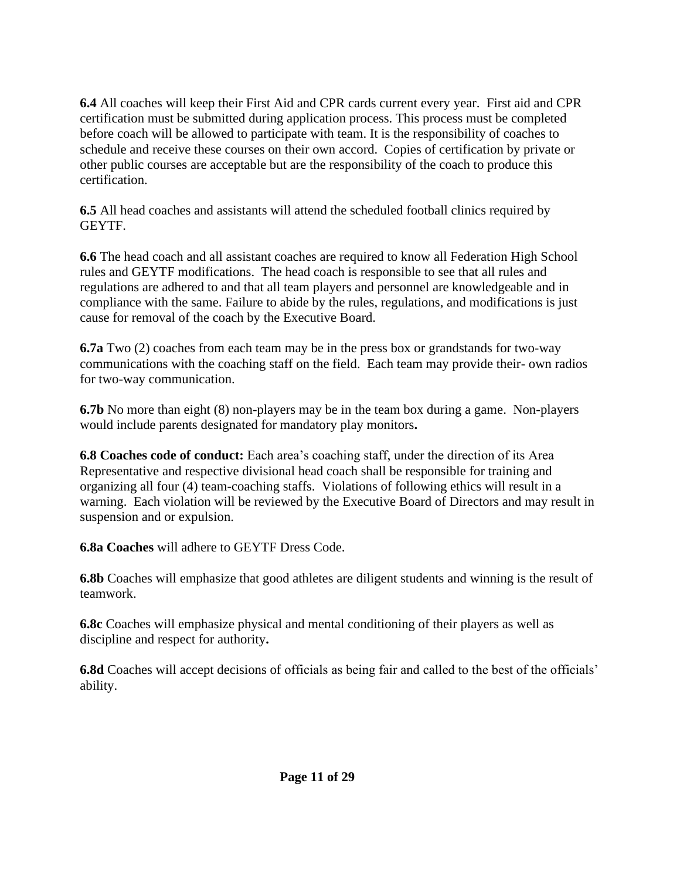**6.4** All coaches will keep their First Aid and CPR cards current every year. First aid and CPR certification must be submitted during application process. This process must be completed before coach will be allowed to participate with team. It is the responsibility of coaches to schedule and receive these courses on their own accord. Copies of certification by private or other public courses are acceptable but are the responsibility of the coach to produce this certification.

**6.5** All head coaches and assistants will attend the scheduled football clinics required by GEYTF.

**6.6** The head coach and all assistant coaches are required to know all Federation High School rules and GEYTF modifications. The head coach is responsible to see that all rules and regulations are adhered to and that all team players and personnel are knowledgeable and in compliance with the same. Failure to abide by the rules, regulations, and modifications is just cause for removal of the coach by the Executive Board.

**6.7a** Two (2) coaches from each team may be in the press box or grandstands for two-way communications with the coaching staff on the field. Each team may provide their- own radios for two-way communication.

**6.7b** No more than eight (8) non-players may be in the team box during a game. Non-players would include parents designated for mandatory play monitors**.**

**6.8 Coaches code of conduct:** Each area's coaching staff, under the direction of its Area Representative and respective divisional head coach shall be responsible for training and organizing all four (4) team-coaching staffs. Violations of following ethics will result in a warning. Each violation will be reviewed by the Executive Board of Directors and may result in suspension and or expulsion.

**6.8a Coaches** will adhere to GEYTF Dress Code.

**6.8b** Coaches will emphasize that good athletes are diligent students and winning is the result of teamwork.

**6.8c** Coaches will emphasize physical and mental conditioning of their players as well as discipline and respect for authority**.**

**6.8d** Coaches will accept decisions of officials as being fair and called to the best of the officials' ability.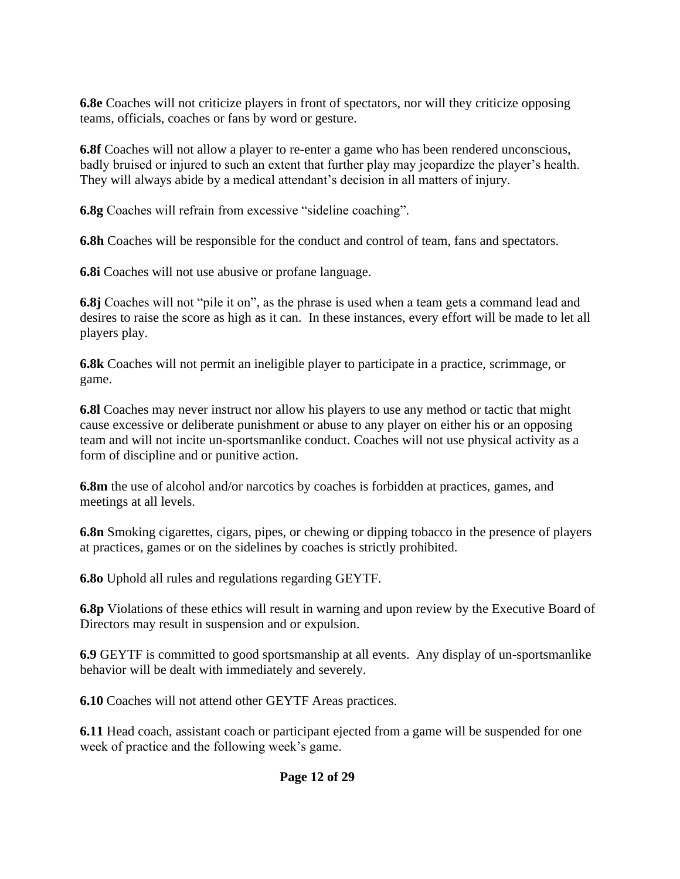**6.8e** Coaches will not criticize players in front of spectators, nor will they criticize opposing teams, officials, coaches or fans by word or gesture.

**6.8f** Coaches will not allow a player to re-enter a game who has been rendered unconscious, badly bruised or injured to such an extent that further play may jeopardize the player's health. They will always abide by a medical attendant's decision in all matters of injury.

**6.8g** Coaches will refrain from excessive "sideline coaching".

**6.8h** Coaches will be responsible for the conduct and control of team, fans and spectators.

**6.8i** Coaches will not use abusive or profane language.

**6.8j** Coaches will not "pile it on", as the phrase is used when a team gets a command lead and desires to raise the score as high as it can. In these instances, every effort will be made to let all players play.

**6.8k** Coaches will not permit an ineligible player to participate in a practice, scrimmage, or game.

**6.8l** Coaches may never instruct nor allow his players to use any method or tactic that might cause excessive or deliberate punishment or abuse to any player on either his or an opposing team and will not incite un-sportsmanlike conduct. Coaches will not use physical activity as a form of discipline and or punitive action.

**6.8m** the use of alcohol and/or narcotics by coaches is forbidden at practices, games, and meetings at all levels.

**6.8n** Smoking cigarettes, cigars, pipes, or chewing or dipping tobacco in the presence of players at practices, games or on the sidelines by coaches is strictly prohibited.

**6.8o** Uphold all rules and regulations regarding GEYTF.

**6.8p** Violations of these ethics will result in warning and upon review by the Executive Board of Directors may result in suspension and or expulsion.

**6.9** GEYTF is committed to good sportsmanship at all events. Any display of un-sportsmanlike behavior will be dealt with immediately and severely.

**6.10** Coaches will not attend other GEYTF Areas practices.

**6.11** Head coach, assistant coach or participant ejected from a game will be suspended for one week of practice and the following week's game.

### **Page 12 of 29**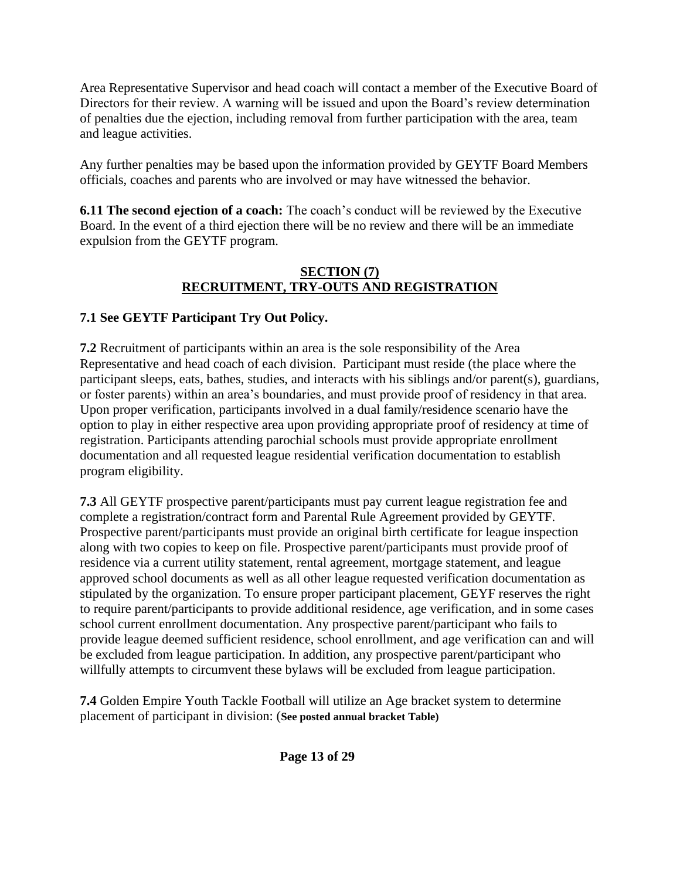Area Representative Supervisor and head coach will contact a member of the Executive Board of Directors for their review. A warning will be issued and upon the Board's review determination of penalties due the ejection, including removal from further participation with the area, team and league activities.

Any further penalties may be based upon the information provided by GEYTF Board Members officials, coaches and parents who are involved or may have witnessed the behavior.

**6.11 The second ejection of a coach:** The coach's conduct will be reviewed by the Executive Board. In the event of a third ejection there will be no review and there will be an immediate expulsion from the GEYTF program.

#### **SECTION (7) RECRUITMENT, TRY-OUTS AND REGISTRATION**

### **7.1 See GEYTF Participant Try Out Policy.**

**7.2** Recruitment of participants within an area is the sole responsibility of the Area Representative and head coach of each division. Participant must reside (the place where the participant sleeps, eats, bathes, studies, and interacts with his siblings and/or parent(s), guardians, or foster parents) within an area's boundaries, and must provide proof of residency in that area. Upon proper verification, participants involved in a dual family/residence scenario have the option to play in either respective area upon providing appropriate proof of residency at time of registration. Participants attending parochial schools must provide appropriate enrollment documentation and all requested league residential verification documentation to establish program eligibility.

**7.3** All GEYTF prospective parent/participants must pay current league registration fee and complete a registration/contract form and Parental Rule Agreement provided by GEYTF. Prospective parent/participants must provide an original birth certificate for league inspection along with two copies to keep on file. Prospective parent/participants must provide proof of residence via a current utility statement, rental agreement, mortgage statement, and league approved school documents as well as all other league requested verification documentation as stipulated by the organization. To ensure proper participant placement, GEYF reserves the right to require parent/participants to provide additional residence, age verification, and in some cases school current enrollment documentation. Any prospective parent/participant who fails to provide league deemed sufficient residence, school enrollment, and age verification can and will be excluded from league participation. In addition, any prospective parent/participant who willfully attempts to circumvent these bylaws will be excluded from league participation.

**7.4** Golden Empire Youth Tackle Football will utilize an Age bracket system to determine placement of participant in division: (**See posted annual bracket Table)**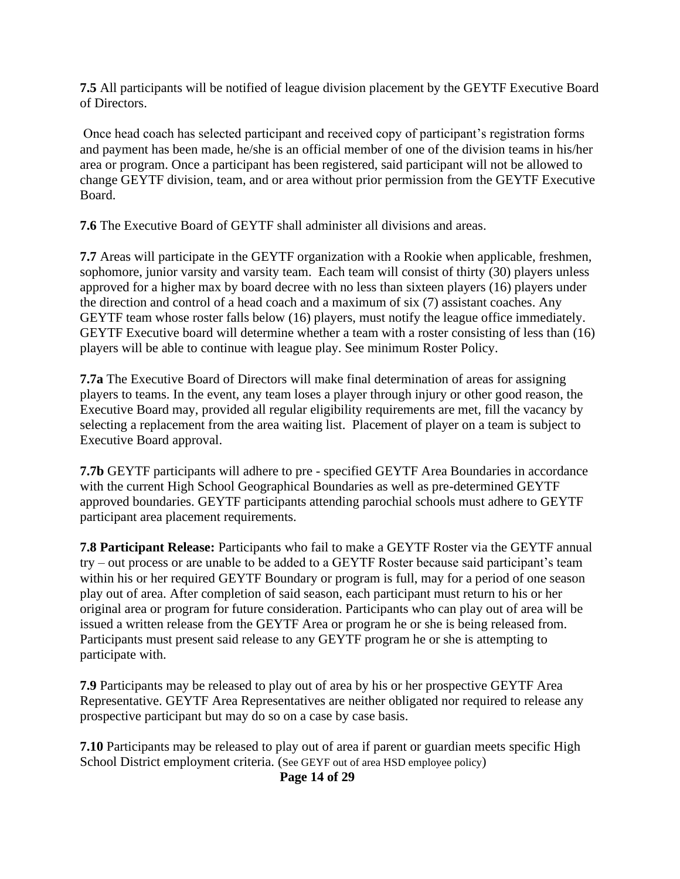**7.5** All participants will be notified of league division placement by the GEYTF Executive Board of Directors.

Once head coach has selected participant and received copy of participant's registration forms and payment has been made, he/she is an official member of one of the division teams in his/her area or program. Once a participant has been registered, said participant will not be allowed to change GEYTF division, team, and or area without prior permission from the GEYTF Executive Board.

**7.6** The Executive Board of GEYTF shall administer all divisions and areas.

**7.7** Areas will participate in the GEYTF organization with a Rookie when applicable, freshmen, sophomore, junior varsity and varsity team. Each team will consist of thirty (30) players unless approved for a higher max by board decree with no less than sixteen players (16) players under the direction and control of a head coach and a maximum of six (7) assistant coaches. Any GEYTF team whose roster falls below (16) players, must notify the league office immediately. GEYTF Executive board will determine whether a team with a roster consisting of less than (16) players will be able to continue with league play. See minimum Roster Policy.

**7.7a** The Executive Board of Directors will make final determination of areas for assigning players to teams. In the event, any team loses a player through injury or other good reason, the Executive Board may, provided all regular eligibility requirements are met, fill the vacancy by selecting a replacement from the area waiting list. Placement of player on a team is subject to Executive Board approval.

**7.7b** GEYTF participants will adhere to pre - specified GEYTF Area Boundaries in accordance with the current High School Geographical Boundaries as well as pre-determined GEYTF approved boundaries. GEYTF participants attending parochial schools must adhere to GEYTF participant area placement requirements.

**7.8 Participant Release:** Participants who fail to make a GEYTF Roster via the GEYTF annual try – out process or are unable to be added to a GEYTF Roster because said participant's team within his or her required GEYTF Boundary or program is full, may for a period of one season play out of area. After completion of said season, each participant must return to his or her original area or program for future consideration. Participants who can play out of area will be issued a written release from the GEYTF Area or program he or she is being released from. Participants must present said release to any GEYTF program he or she is attempting to participate with.

**7.9** Participants may be released to play out of area by his or her prospective GEYTF Area Representative. GEYTF Area Representatives are neither obligated nor required to release any prospective participant but may do so on a case by case basis.

**7.10** Participants may be released to play out of area if parent or guardian meets specific High School District employment criteria. (See GEYF out of area HSD employee policy)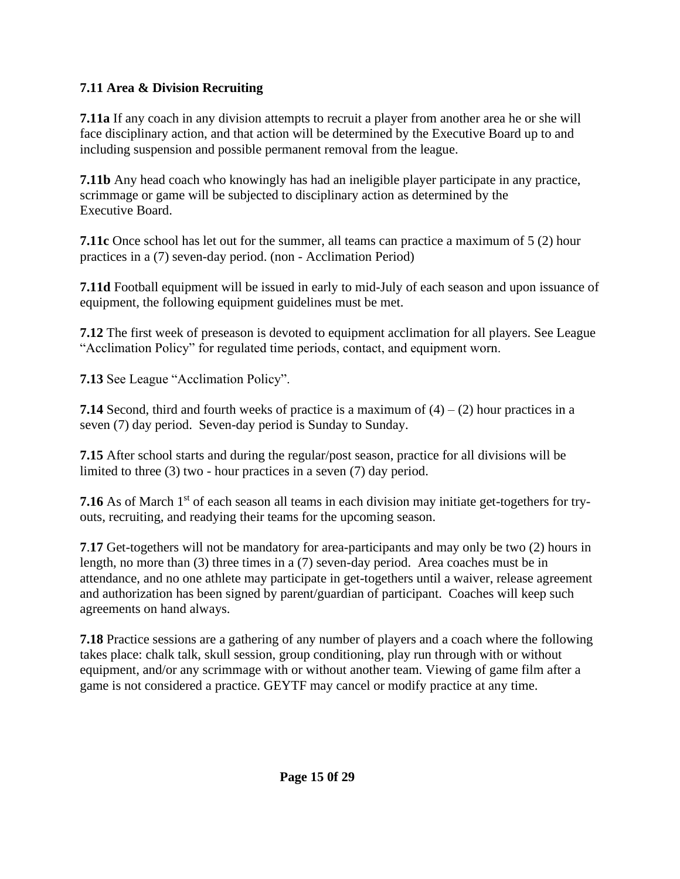### **7.11 Area & Division Recruiting**

**7.11a** If any coach in any division attempts to recruit a player from another area he or she will face disciplinary action, and that action will be determined by the Executive Board up to and including suspension and possible permanent removal from the league.

**7.11b** Any head coach who knowingly has had an ineligible player participate in any practice, scrimmage or game will be subjected to disciplinary action as determined by the Executive Board.

**7.11c** Once school has let out for the summer, all teams can practice a maximum of 5 (2) hour practices in a (7) seven-day period. (non - Acclimation Period)

**7.11d** Football equipment will be issued in early to mid-July of each season and upon issuance of equipment, the following equipment guidelines must be met.

**7.12** The first week of preseason is devoted to equipment acclimation for all players. See League "Acclimation Policy" for regulated time periods, contact, and equipment worn.

**7.13** See League "Acclimation Policy".

**7.14** Second, third and fourth weeks of practice is a maximum of  $(4) - (2)$  hour practices in a seven (7) day period. Seven-day period is Sunday to Sunday.

**7.15** After school starts and during the regular/post season, practice for all divisions will be limited to three (3) two - hour practices in a seven (7) day period.

**7.16** As of March 1<sup>st</sup> of each season all teams in each division may initiate get-togethers for tryouts, recruiting, and readying their teams for the upcoming season.

**7**.**17** Get-togethers will not be mandatory for area-participants and may only be two (2) hours in length, no more than (3) three times in a (7) seven-day period. Area coaches must be in attendance, and no one athlete may participate in get-togethers until a waiver, release agreement and authorization has been signed by parent/guardian of participant. Coaches will keep such agreements on hand always.

**7.18** Practice sessions are a gathering of any number of players and a coach where the following takes place: chalk talk, skull session, group conditioning, play run through with or without equipment, and/or any scrimmage with or without another team. Viewing of game film after a game is not considered a practice. GEYTF may cancel or modify practice at any time.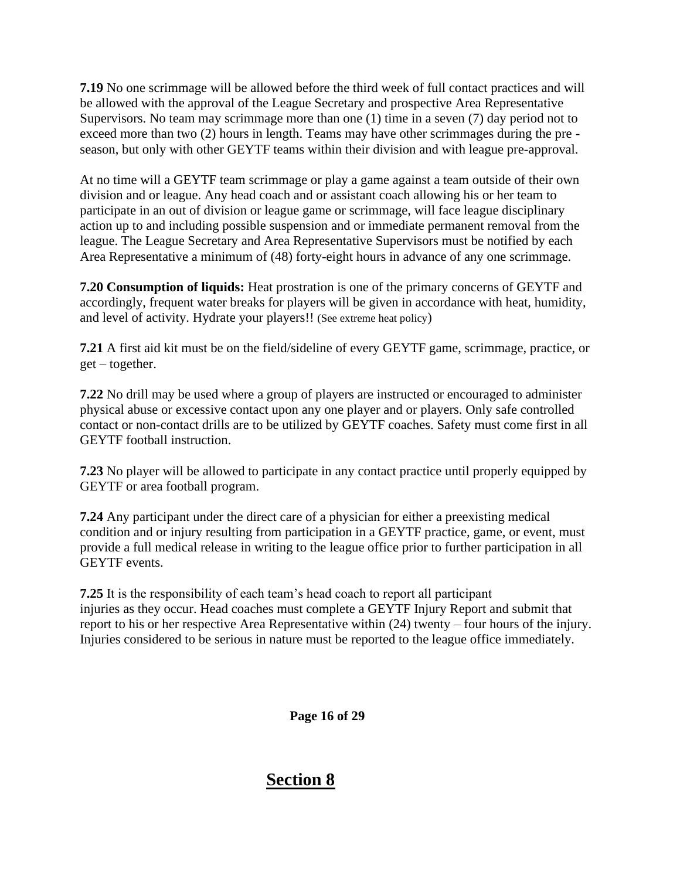**7.19** No one scrimmage will be allowed before the third week of full contact practices and will be allowed with the approval of the League Secretary and prospective Area Representative Supervisors. No team may scrimmage more than one (1) time in a seven (7) day period not to exceed more than two (2) hours in length. Teams may have other scrimmages during the pre season, but only with other GEYTF teams within their division and with league pre-approval.

At no time will a GEYTF team scrimmage or play a game against a team outside of their own division and or league. Any head coach and or assistant coach allowing his or her team to participate in an out of division or league game or scrimmage, will face league disciplinary action up to and including possible suspension and or immediate permanent removal from the league. The League Secretary and Area Representative Supervisors must be notified by each Area Representative a minimum of (48) forty-eight hours in advance of any one scrimmage.

**7.20 Consumption of liquids:** Heat prostration is one of the primary concerns of GEYTF and accordingly, frequent water breaks for players will be given in accordance with heat, humidity, and level of activity. Hydrate your players!! (See extreme heat policy)

**7.21** A first aid kit must be on the field/sideline of every GEYTF game, scrimmage, practice, or get – together.

**7.22** No drill may be used where a group of players are instructed or encouraged to administer physical abuse or excessive contact upon any one player and or players. Only safe controlled contact or non-contact drills are to be utilized by GEYTF coaches. Safety must come first in all GEYTF football instruction.

**7.23** No player will be allowed to participate in any contact practice until properly equipped by GEYTF or area football program.

**7.24** Any participant under the direct care of a physician for either a preexisting medical condition and or injury resulting from participation in a GEYTF practice, game, or event, must provide a full medical release in writing to the league office prior to further participation in all GEYTF events.

**7.25** It is the responsibility of each team's head coach to report all participant injuries as they occur. Head coaches must complete a GEYTF Injury Report and submit that report to his or her respective Area Representative within (24) twenty – four hours of the injury. Injuries considered to be serious in nature must be reported to the league office immediately.

 **Page 16 of 29**

### **Section 8**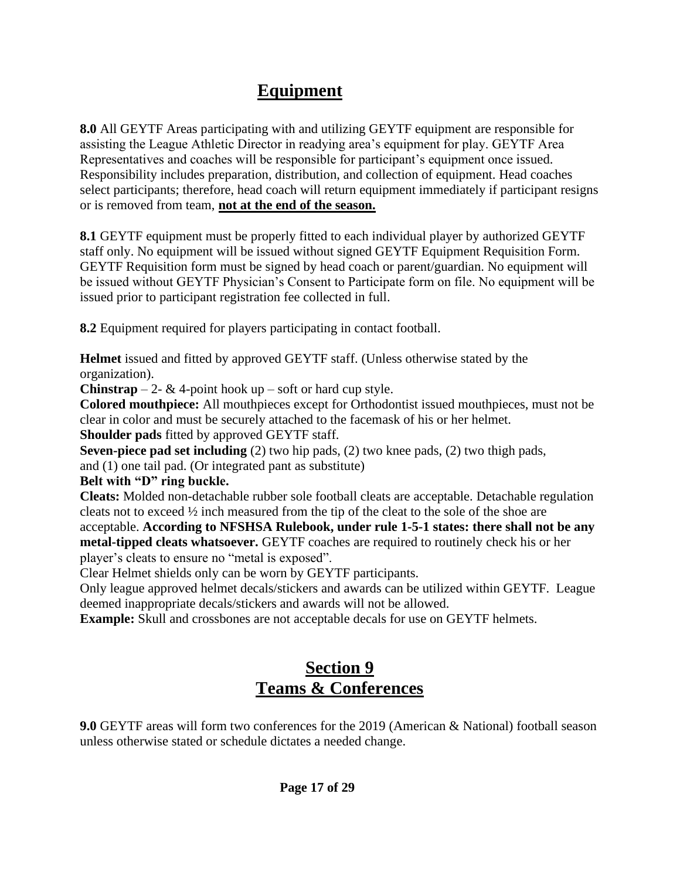# **Equipment**

**8.0** All GEYTF Areas participating with and utilizing GEYTF equipment are responsible for assisting the League Athletic Director in readying area's equipment for play. GEYTF Area Representatives and coaches will be responsible for participant's equipment once issued. Responsibility includes preparation, distribution, and collection of equipment. Head coaches select participants; therefore, head coach will return equipment immediately if participant resigns or is removed from team, **not at the end of the season.** 

**8.1** GEYTF equipment must be properly fitted to each individual player by authorized GEYTF staff only. No equipment will be issued without signed GEYTF Equipment Requisition Form. GEYTF Requisition form must be signed by head coach or parent/guardian. No equipment will be issued without GEYTF Physician's Consent to Participate form on file. No equipment will be issued prior to participant registration fee collected in full.

**8.2** Equipment required for players participating in contact football.

**Helmet** issued and fitted by approved GEYTF staff. (Unless otherwise stated by the organization).

**Chinstrap** – 2-  $\&$  4-point hook up – soft or hard cup style.

**Colored mouthpiece:** All mouthpieces except for Orthodontist issued mouthpieces, must not be clear in color and must be securely attached to the facemask of his or her helmet.

**Shoulder pads** fitted by approved GEYTF staff.

**Seven-piece pad set including** (2) two hip pads, (2) two knee pads, (2) two thigh pads,

and (1) one tail pad. (Or integrated pant as substitute)

**Belt with "D" ring buckle.**

**Cleats:** Molded non-detachable rubber sole football cleats are acceptable. Detachable regulation cleats not to exceed  $\frac{1}{2}$  inch measured from the tip of the cleat to the sole of the shoe are acceptable. **According to NFSHSA Rulebook, under rule 1-5-1 states: there shall not be any metal-tipped cleats whatsoever.** GEYTF coaches are required to routinely check his or her player's cleats to ensure no "metal is exposed".

Clear Helmet shields only can be worn by GEYTF participants.

Only league approved helmet decals/stickers and awards can be utilized within GEYTF. League deemed inappropriate decals/stickers and awards will not be allowed.

**Example:** Skull and crossbones are not acceptable decals for use on GEYTF helmets.

# **Section 9 Teams & Conferences**

**9.0** GEYTF areas will form two conferences for the 2019 (American & National) football season unless otherwise stated or schedule dictates a needed change.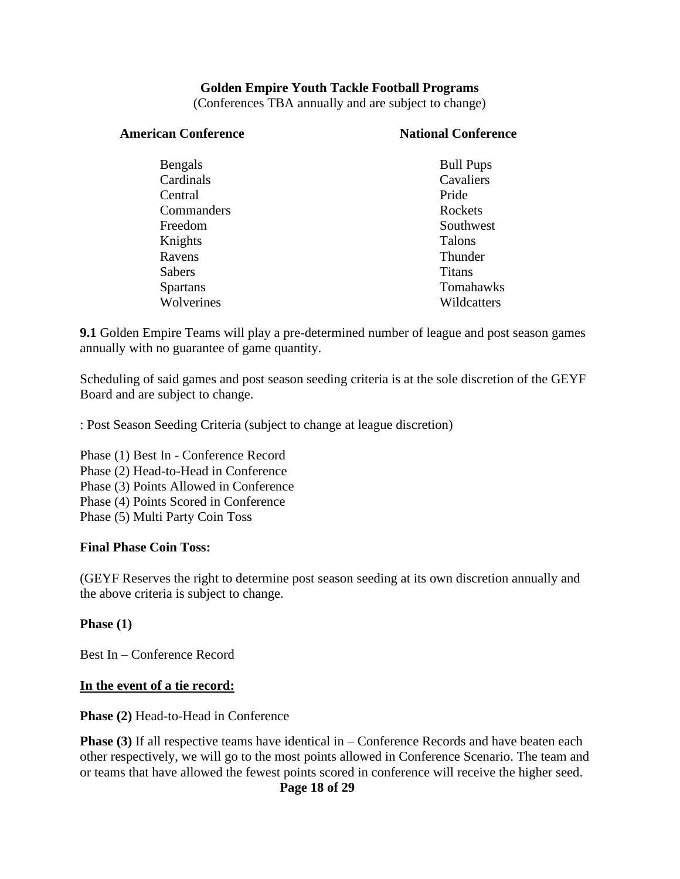#### **Golden Empire Youth Tackle Football Programs**

(Conferences TBA annually and are subject to change)

#### American Conference **National Conference**

| Bengals         | <b>Bull Pups</b> |
|-----------------|------------------|
| Cardinals       | Cavaliers        |
| Central         | Pride            |
| Commanders      | Rockets          |
| Freedom         | Southwest        |
| Knights         | <b>Talons</b>    |
| Ravens          | Thunder          |
| <b>Sabers</b>   | <b>Titans</b>    |
| <b>Spartans</b> | Tomahawks        |
| Wolverines      | Wildcatters      |
|                 |                  |

**9.1** Golden Empire Teams will play a pre-determined number of league and post season games annually with no guarantee of game quantity.

Scheduling of said games and post season seeding criteria is at the sole discretion of the GEYF Board and are subject to change.

: Post Season Seeding Criteria (subject to change at league discretion)

Phase (1) Best In - Conference Record Phase (2) Head-to-Head in Conference Phase (3) Points Allowed in Conference Phase (4) Points Scored in Conference Phase (5) Multi Party Coin Toss

#### **Final Phase Coin Toss:**

(GEYF Reserves the right to determine post season seeding at its own discretion annually and the above criteria is subject to change.

**Phase (1)**

Best In – Conference Record

#### **In the event of a tie record:**

**Phase (2)** Head-to-Head in Conference

**Phase (3)** If all respective teams have identical in – Conference Records and have beaten each other respectively, we will go to the most points allowed in Conference Scenario. The team and or teams that have allowed the fewest points scored in conference will receive the higher seed.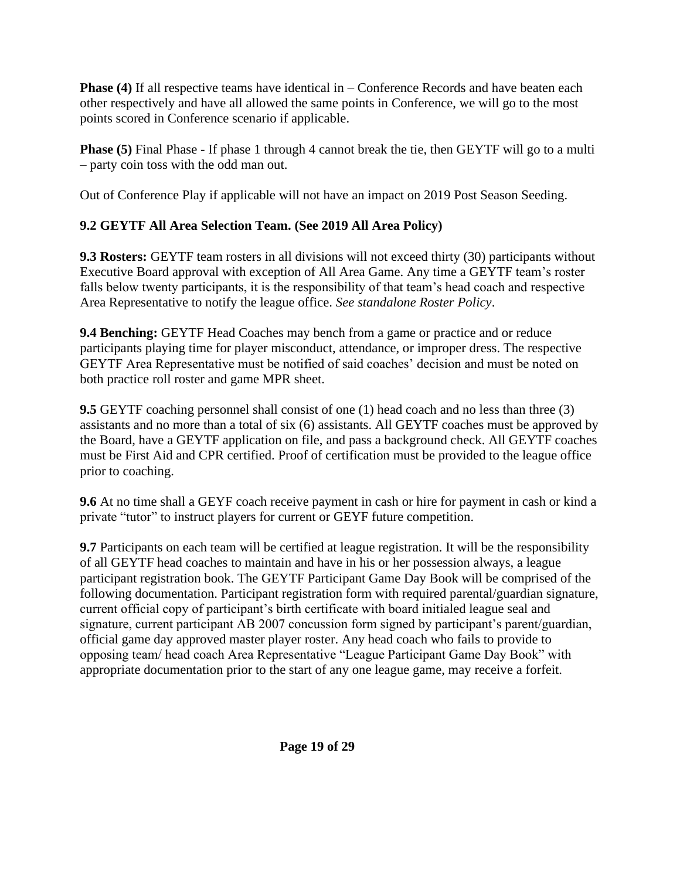**Phase (4)** If all respective teams have identical in – Conference Records and have beaten each other respectively and have all allowed the same points in Conference, we will go to the most points scored in Conference scenario if applicable.

**Phase (5)** Final Phase - If phase 1 through 4 cannot break the tie, then GEYTF will go to a multi – party coin toss with the odd man out.

Out of Conference Play if applicable will not have an impact on 2019 Post Season Seeding.

### **9.2 GEYTF All Area Selection Team. (See 2019 All Area Policy)**

**9.3 Rosters:** GEYTF team rosters in all divisions will not exceed thirty (30) participants without Executive Board approval with exception of All Area Game. Any time a GEYTF team's roster falls below twenty participants, it is the responsibility of that team's head coach and respective Area Representative to notify the league office. *See standalone Roster Policy*.

**9.4 Benching:** GEYTF Head Coaches may bench from a game or practice and or reduce participants playing time for player misconduct, attendance, or improper dress. The respective GEYTF Area Representative must be notified of said coaches' decision and must be noted on both practice roll roster and game MPR sheet.

**9.5** GEYTF coaching personnel shall consist of one (1) head coach and no less than three (3) assistants and no more than a total of six (6) assistants. All GEYTF coaches must be approved by the Board, have a GEYTF application on file, and pass a background check. All GEYTF coaches must be First Aid and CPR certified. Proof of certification must be provided to the league office prior to coaching.

**9.6** At no time shall a GEYF coach receive payment in cash or hire for payment in cash or kind a private "tutor" to instruct players for current or GEYF future competition.

**9.7** Participants on each team will be certified at league registration. It will be the responsibility of all GEYTF head coaches to maintain and have in his or her possession always, a league participant registration book. The GEYTF Participant Game Day Book will be comprised of the following documentation. Participant registration form with required parental/guardian signature, current official copy of participant's birth certificate with board initialed league seal and signature, current participant AB 2007 concussion form signed by participant's parent/guardian, official game day approved master player roster. Any head coach who fails to provide to opposing team/ head coach Area Representative "League Participant Game Day Book" with appropriate documentation prior to the start of any one league game, may receive a forfeit.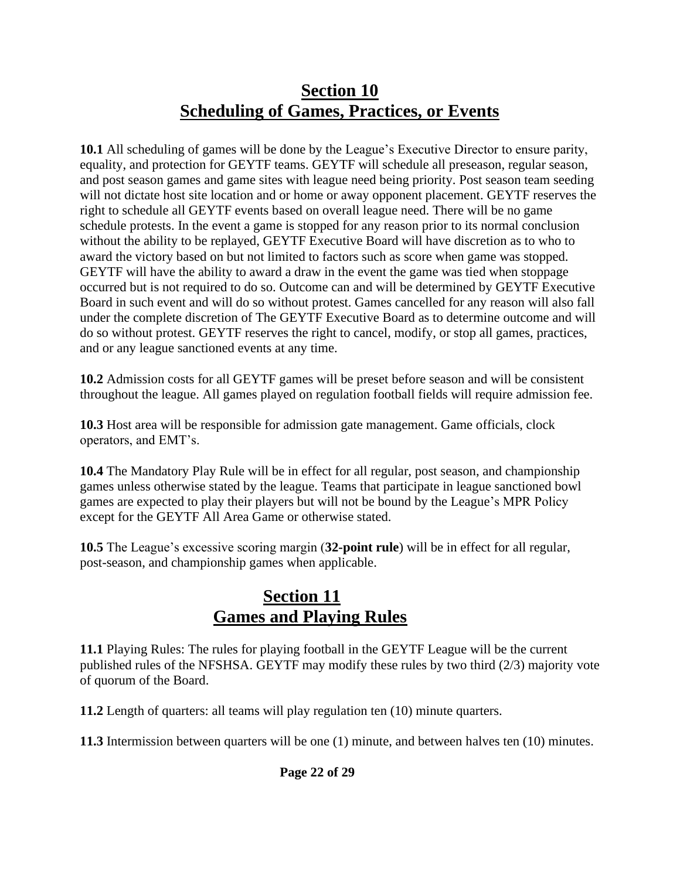### **Section 10 Scheduling of Games, Practices, or Events**

**10.1** All scheduling of games will be done by the League's Executive Director to ensure parity, equality, and protection for GEYTF teams. GEYTF will schedule all preseason, regular season, and post season games and game sites with league need being priority. Post season team seeding will not dictate host site location and or home or away opponent placement. GEYTF reserves the right to schedule all GEYTF events based on overall league need. There will be no game schedule protests. In the event a game is stopped for any reason prior to its normal conclusion without the ability to be replayed, GEYTF Executive Board will have discretion as to who to award the victory based on but not limited to factors such as score when game was stopped. GEYTF will have the ability to award a draw in the event the game was tied when stoppage occurred but is not required to do so. Outcome can and will be determined by GEYTF Executive Board in such event and will do so without protest. Games cancelled for any reason will also fall under the complete discretion of The GEYTF Executive Board as to determine outcome and will do so without protest. GEYTF reserves the right to cancel, modify, or stop all games, practices, and or any league sanctioned events at any time.

**10.2** Admission costs for all GEYTF games will be preset before season and will be consistent throughout the league. All games played on regulation football fields will require admission fee.

**10.3** Host area will be responsible for admission gate management. Game officials, clock operators, and EMT's.

**10.4** The Mandatory Play Rule will be in effect for all regular, post season, and championship games unless otherwise stated by the league. Teams that participate in league sanctioned bowl games are expected to play their players but will not be bound by the League's MPR Policy except for the GEYTF All Area Game or otherwise stated.

**10.5** The League's excessive scoring margin (**32-point rule**) will be in effect for all regular, post-season, and championship games when applicable.

### **Section 11 Games and Playing Rules**

**11.1** Playing Rules: The rules for playing football in the GEYTF League will be the current published rules of the NFSHSA. GEYTF may modify these rules by two third (2/3) majority vote of quorum of the Board.

**11.2** Length of quarters: all teams will play regulation ten (10) minute quarters.

**11.3** Intermission between quarters will be one (1) minute, and between halves ten (10) minutes.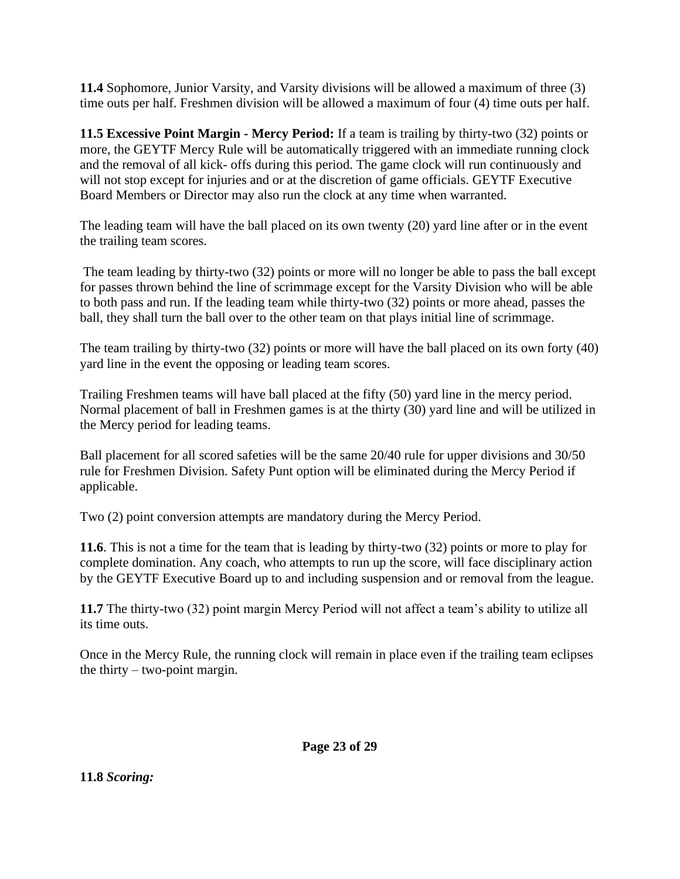**11.4** Sophomore, Junior Varsity, and Varsity divisions will be allowed a maximum of three (3) time outs per half. Freshmen division will be allowed a maximum of four (4) time outs per half.

**11.5 Excessive Point Margin - Mercy Period:** If a team is trailing by thirty-two (32) points or more, the GEYTF Mercy Rule will be automatically triggered with an immediate running clock and the removal of all kick- offs during this period. The game clock will run continuously and will not stop except for injuries and or at the discretion of game officials. GEYTF Executive Board Members or Director may also run the clock at any time when warranted.

The leading team will have the ball placed on its own twenty (20) yard line after or in the event the trailing team scores.

The team leading by thirty-two (32) points or more will no longer be able to pass the ball except for passes thrown behind the line of scrimmage except for the Varsity Division who will be able to both pass and run. If the leading team while thirty-two (32) points or more ahead, passes the ball, they shall turn the ball over to the other team on that plays initial line of scrimmage.

The team trailing by thirty-two (32) points or more will have the ball placed on its own forty (40) yard line in the event the opposing or leading team scores.

Trailing Freshmen teams will have ball placed at the fifty (50) yard line in the mercy period. Normal placement of ball in Freshmen games is at the thirty (30) yard line and will be utilized in the Mercy period for leading teams.

Ball placement for all scored safeties will be the same 20/40 rule for upper divisions and 30/50 rule for Freshmen Division. Safety Punt option will be eliminated during the Mercy Period if applicable.

Two (2) point conversion attempts are mandatory during the Mercy Period.

**11.6**. This is not a time for the team that is leading by thirty-two (32) points or more to play for complete domination. Any coach, who attempts to run up the score, will face disciplinary action by the GEYTF Executive Board up to and including suspension and or removal from the league.

**11.7** The thirty-two (32) point margin Mercy Period will not affect a team's ability to utilize all its time outs.

Once in the Mercy Rule, the running clock will remain in place even if the trailing team eclipses the thirty – two-point margin.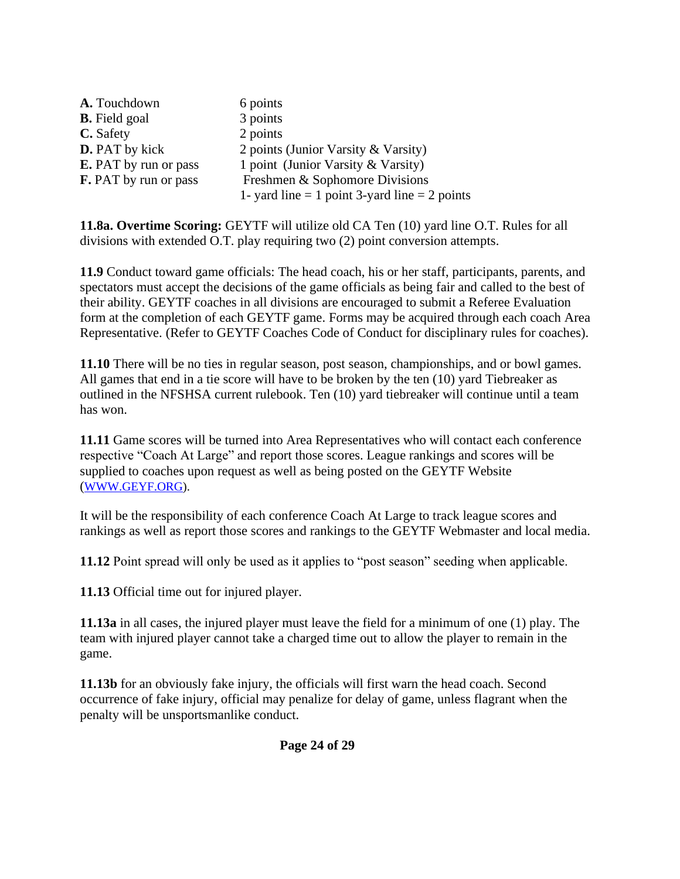| A. Touchdown                 | 6 points                                          |
|------------------------------|---------------------------------------------------|
| <b>B.</b> Field goal         | 3 points                                          |
| C. Safety                    | 2 points                                          |
| <b>D.</b> PAT by kick        | 2 points (Junior Varsity & Varsity)               |
| <b>E.</b> PAT by run or pass | 1 point (Junior Varsity & Varsity)                |
| <b>F.</b> PAT by run or pass | Freshmen & Sophomore Divisions                    |
|                              | 1- yard line $= 1$ point 3-yard line $= 2$ points |

**11.8a. Overtime Scoring:** GEYTF will utilize old CA Ten (10) yard line O.T. Rules for all divisions with extended O.T. play requiring two (2) point conversion attempts.

**11.9** Conduct toward game officials: The head coach, his or her staff, participants, parents, and spectators must accept the decisions of the game officials as being fair and called to the best of their ability. GEYTF coaches in all divisions are encouraged to submit a Referee Evaluation form at the completion of each GEYTF game. Forms may be acquired through each coach Area Representative. (Refer to GEYTF Coaches Code of Conduct for disciplinary rules for coaches).

**11.10** There will be no ties in regular season, post season, championships, and or bowl games. All games that end in a tie score will have to be broken by the ten (10) yard Tiebreaker as outlined in the NFSHSA current rulebook. Ten (10) yard tiebreaker will continue until a team has won.

**11.11** Game scores will be turned into Area Representatives who will contact each conference respective "Coach At Large" and report those scores. League rankings and scores will be supplied to coaches upon request as well as being posted on the GEYTF Website ([WWW.GEYF.ORG\)](http://www.geyf.org/).

It will be the responsibility of each conference Coach At Large to track league scores and rankings as well as report those scores and rankings to the GEYTF Webmaster and local media.

**11.12** Point spread will only be used as it applies to "post season" seeding when applicable.

**11.13** Official time out for injured player.

**11.13a** in all cases, the injured player must leave the field for a minimum of one (1) play. The team with injured player cannot take a charged time out to allow the player to remain in the game.

**11.13b** for an obviously fake injury, the officials will first warn the head coach. Second occurrence of fake injury, official may penalize for delay of game, unless flagrant when the penalty will be unsportsmanlike conduct.

**Page 24 of 29**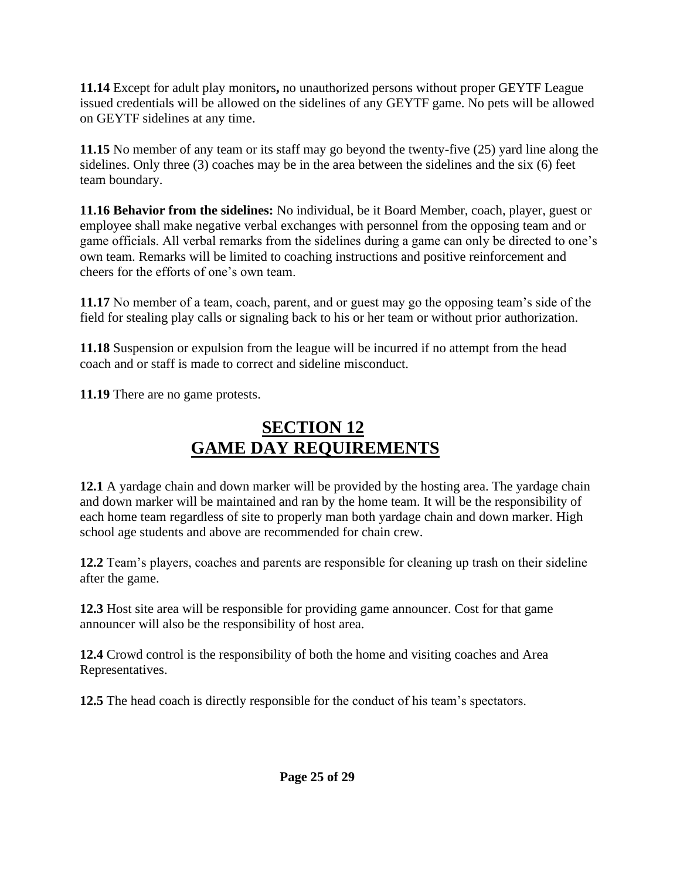**11.14** Except for adult play monitors**,** no unauthorized persons without proper GEYTF League issued credentials will be allowed on the sidelines of any GEYTF game. No pets will be allowed on GEYTF sidelines at any time.

**11.15** No member of any team or its staff may go beyond the twenty-five (25) yard line along the sidelines. Only three (3) coaches may be in the area between the sidelines and the six (6) feet team boundary.

**11.16 Behavior from the sidelines:** No individual, be it Board Member, coach, player, guest or employee shall make negative verbal exchanges with personnel from the opposing team and or game officials. All verbal remarks from the sidelines during a game can only be directed to one's own team. Remarks will be limited to coaching instructions and positive reinforcement and cheers for the efforts of one's own team.

**11.17** No member of a team, coach, parent, and or guest may go the opposing team's side of the field for stealing play calls or signaling back to his or her team or without prior authorization.

**11.18** Suspension or expulsion from the league will be incurred if no attempt from the head coach and or staff is made to correct and sideline misconduct.

**11.19** There are no game protests.

# **SECTION 12 GAME DAY REQUIREMENTS**

**12.1** A yardage chain and down marker will be provided by the hosting area. The yardage chain and down marker will be maintained and ran by the home team. It will be the responsibility of each home team regardless of site to properly man both yardage chain and down marker. High school age students and above are recommended for chain crew.

**12.2** Team's players, coaches and parents are responsible for cleaning up trash on their sideline after the game.

**12.3** Host site area will be responsible for providing game announcer. Cost for that game announcer will also be the responsibility of host area.

**12.4** Crowd control is the responsibility of both the home and visiting coaches and Area Representatives.

**12.5** The head coach is directly responsible for the conduct of his team's spectators.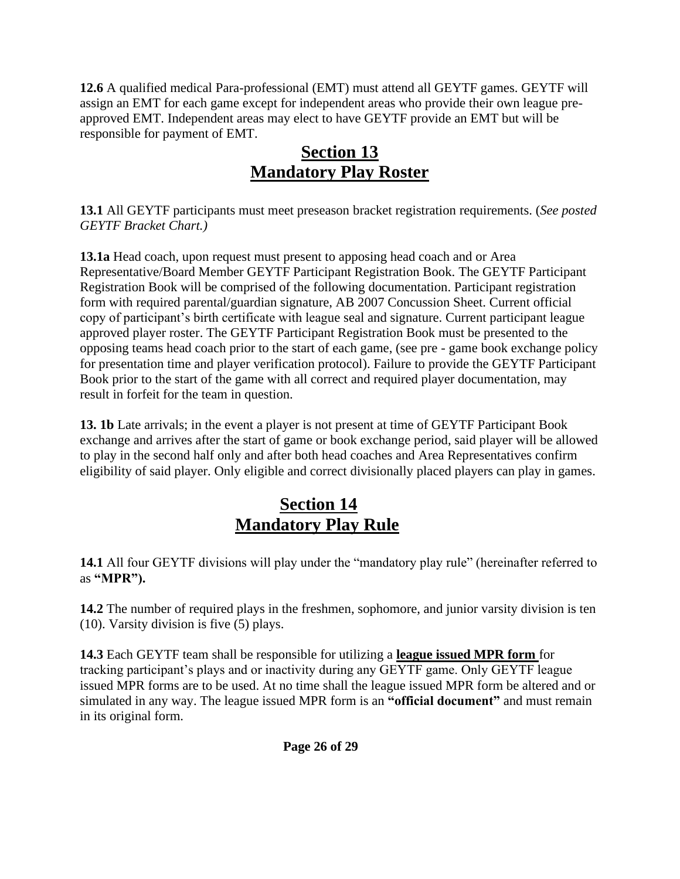**12.6** A qualified medical Para-professional (EMT) must attend all GEYTF games. GEYTF will assign an EMT for each game except for independent areas who provide their own league preapproved EMT. Independent areas may elect to have GEYTF provide an EMT but will be responsible for payment of EMT.

### **Section 13 Mandatory Play Roster**

**13.1** All GEYTF participants must meet preseason bracket registration requirements. (*See posted GEYTF Bracket Chart.)*

**13.1a** Head coach, upon request must present to apposing head coach and or Area Representative/Board Member GEYTF Participant Registration Book. The GEYTF Participant Registration Book will be comprised of the following documentation. Participant registration form with required parental/guardian signature, AB 2007 Concussion Sheet. Current official copy of participant's birth certificate with league seal and signature. Current participant league approved player roster. The GEYTF Participant Registration Book must be presented to the opposing teams head coach prior to the start of each game, (see pre - game book exchange policy for presentation time and player verification protocol). Failure to provide the GEYTF Participant Book prior to the start of the game with all correct and required player documentation, may result in forfeit for the team in question.

**13. 1b** Late arrivals; in the event a player is not present at time of GEYTF Participant Book exchange and arrives after the start of game or book exchange period, said player will be allowed to play in the second half only and after both head coaches and Area Representatives confirm eligibility of said player. Only eligible and correct divisionally placed players can play in games.

# **Section 14 Mandatory Play Rule**

**14.1** All four GEYTF divisions will play under the "mandatory play rule" (hereinafter referred to as **"MPR").**

**14.2** The number of required plays in the freshmen, sophomore, and junior varsity division is ten (10). Varsity division is five (5) plays.

**14.3** Each GEYTF team shall be responsible for utilizing a **league issued MPR form** for tracking participant's plays and or inactivity during any GEYTF game. Only GEYTF league issued MPR forms are to be used. At no time shall the league issued MPR form be altered and or simulated in any way. The league issued MPR form is an **"official document"** and must remain in its original form.

**Page 26 of 29**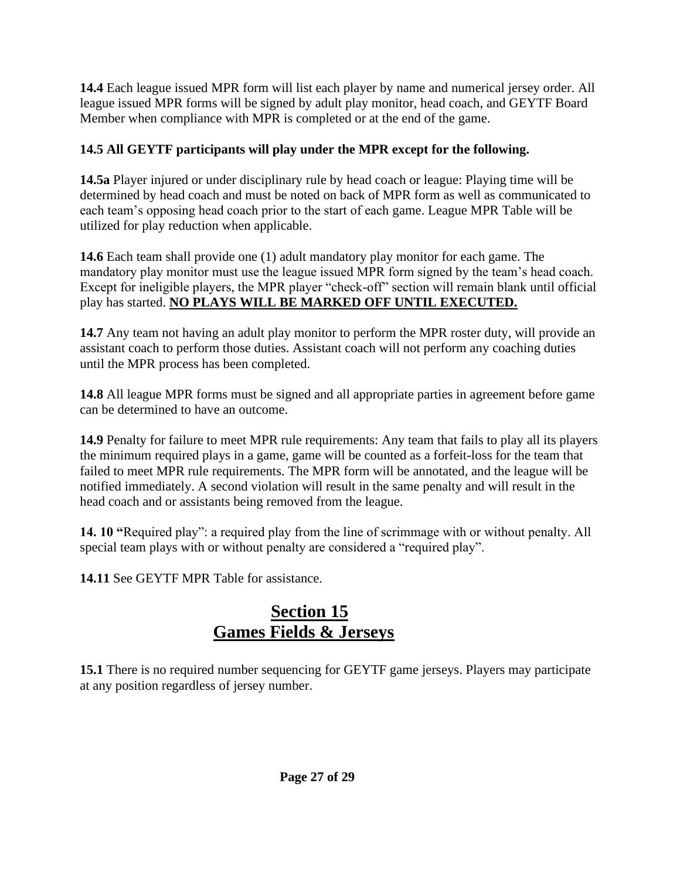**14.4** Each league issued MPR form will list each player by name and numerical jersey order. All league issued MPR forms will be signed by adult play monitor, head coach, and GEYTF Board Member when compliance with MPR is completed or at the end of the game.

### **14.5 All GEYTF participants will play under the MPR except for the following.**

**14.5a** Player injured or under disciplinary rule by head coach or league: Playing time will be determined by head coach and must be noted on back of MPR form as well as communicated to each team's opposing head coach prior to the start of each game. League MPR Table will be utilized for play reduction when applicable.

**14.6** Each team shall provide one (1) adult mandatory play monitor for each game. The mandatory play monitor must use the league issued MPR form signed by the team's head coach. Except for ineligible players, the MPR player "check-off" section will remain blank until official play has started. **NO PLAYS WILL BE MARKED OFF UNTIL EXECUTED.**

**14.7** Any team not having an adult play monitor to perform the MPR roster duty, will provide an assistant coach to perform those duties. Assistant coach will not perform any coaching duties until the MPR process has been completed.

**14.8** All league MPR forms must be signed and all appropriate parties in agreement before game can be determined to have an outcome.

**14.9** Penalty for failure to meet MPR rule requirements: Any team that fails to play all its players the minimum required plays in a game, game will be counted as a forfeit-loss for the team that failed to meet MPR rule requirements. The MPR form will be annotated, and the league will be notified immediately. A second violation will result in the same penalty and will result in the head coach and or assistants being removed from the league.

**14. 10 "**Required play": a required play from the line of scrimmage with or without penalty. All special team plays with or without penalty are considered a "required play".

**14.11** See GEYTF MPR Table for assistance.

# **Section 15 Games Fields & Jerseys**

**15.1** There is no required number sequencing for GEYTF game jerseys. Players may participate at any position regardless of jersey number.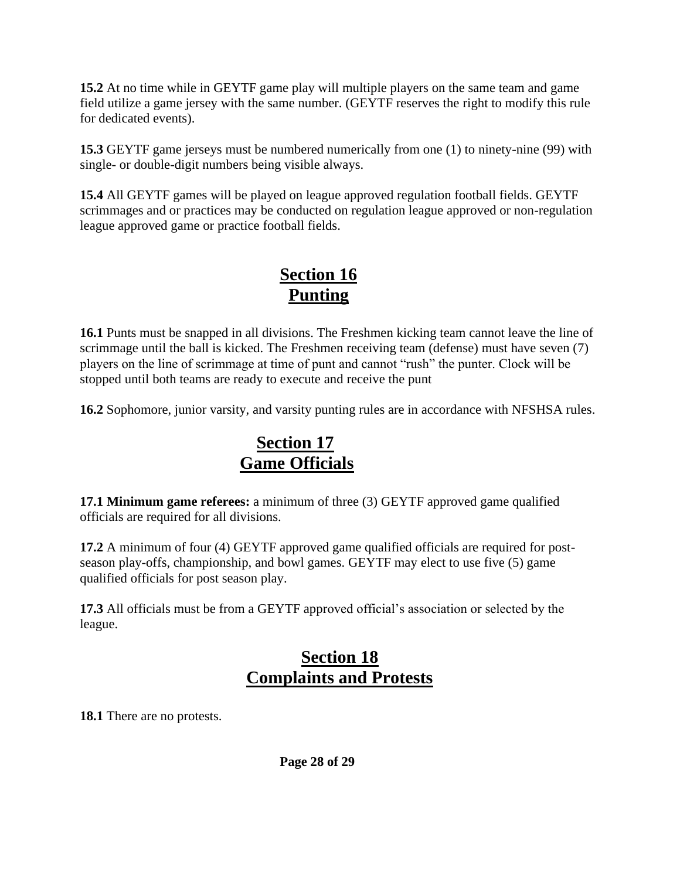**15.2** At no time while in GEYTF game play will multiple players on the same team and game field utilize a game jersey with the same number. (GEYTF reserves the right to modify this rule for dedicated events).

**15.3** GEYTF game jerseys must be numbered numerically from one (1) to ninety-nine (99) with single- or double-digit numbers being visible always.

**15.4** All GEYTF games will be played on league approved regulation football fields. GEYTF scrimmages and or practices may be conducted on regulation league approved or non-regulation league approved game or practice football fields.

### **Section 16 Punting**

**16.1** Punts must be snapped in all divisions. The Freshmen kicking team cannot leave the line of scrimmage until the ball is kicked. The Freshmen receiving team (defense) must have seven (7) players on the line of scrimmage at time of punt and cannot "rush" the punter. Clock will be stopped until both teams are ready to execute and receive the punt

**16.2** Sophomore, junior varsity, and varsity punting rules are in accordance with NFSHSA rules.

### **Section 17 Game Officials**

**17.1 Minimum game referees:** a minimum of three (3) GEYTF approved game qualified officials are required for all divisions.

**17.2** A minimum of four (4) GEYTF approved game qualified officials are required for postseason play-offs, championship, and bowl games. GEYTF may elect to use five (5) game qualified officials for post season play.

**17.3** All officials must be from a GEYTF approved official's association or selected by the league.

### **Section 18 Complaints and Protests**

**18.1** There are no protests.

**Page 28 of 29**